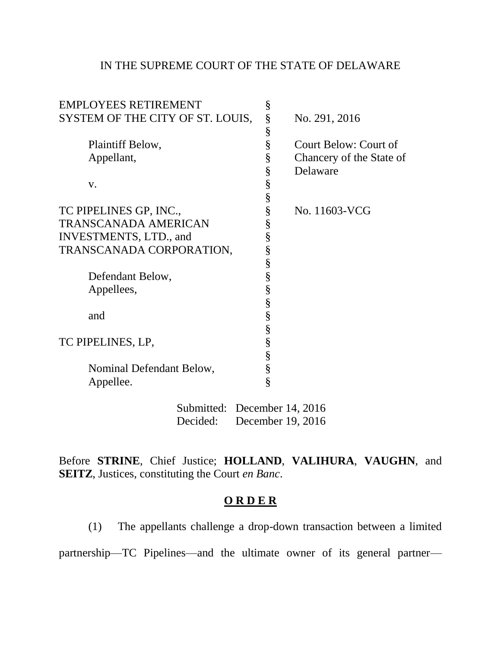## IN THE SUPREME COURT OF THE STATE OF DELAWARE

| <b>EMPLOYEES RETIREMENT</b>      | § |                          |
|----------------------------------|---|--------------------------|
| SYSTEM OF THE CITY OF ST. LOUIS, | § | No. 291, 2016            |
|                                  | § |                          |
| Plaintiff Below,                 | § | Court Below: Court of    |
| Appellant,                       | § | Chancery of the State of |
|                                  | § | Delaware                 |
| V.                               | § |                          |
|                                  | § |                          |
| TC PIPELINES GP, INC.,           | § | No. 11603-VCG            |
| <b>TRANSCANADA AMERICAN</b>      | § |                          |
| INVESTMENTS, LTD., and           | § |                          |
| TRANSCANADA CORPORATION,         | § |                          |
|                                  | § |                          |
| Defendant Below,                 | § |                          |
| Appellees,                       | § |                          |
|                                  | § |                          |
| and                              | § |                          |
|                                  | § |                          |
| TC PIPELINES, LP,                | § |                          |
|                                  | § |                          |
| Nominal Defendant Below,         | § |                          |
| Appellee.                        | § |                          |
|                                  |   |                          |

Submitted: December 14, 2016 Decided: December 19, 2016

Before **STRINE**, Chief Justice; **HOLLAND**, **VALIHURA**, **VAUGHN**, and **SEITZ**, Justices, constituting the Court *en Banc*.

## **O R D E R**

(1) The appellants challenge a drop-down transaction between a limited partnership—TC Pipelines—and the ultimate owner of its general partner—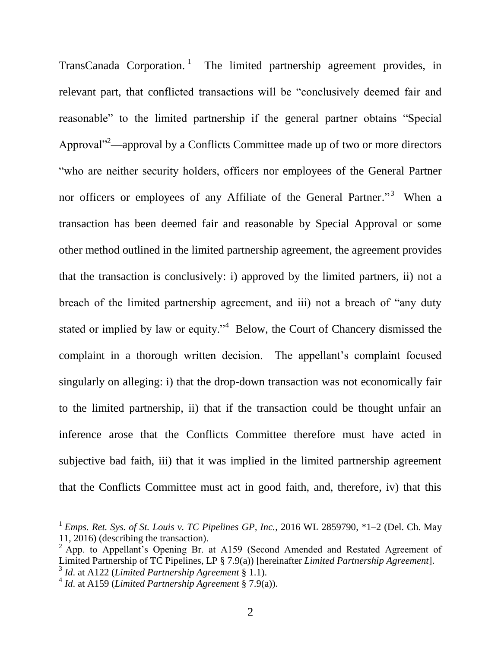TransCanada Corporation.<sup>1</sup> The limited partnership agreement provides, in relevant part, that conflicted transactions will be "conclusively deemed fair and reasonable" to the limited partnership if the general partner obtains "Special Approval"<sup>2</sup>—approval by a Conflicts Committee made up of two or more directors ―who are neither security holders, officers nor employees of the General Partner nor officers or employees of any Affiliate of the General Partner."<sup>3</sup> When a transaction has been deemed fair and reasonable by Special Approval or some other method outlined in the limited partnership agreement, the agreement provides that the transaction is conclusively: i) approved by the limited partners, ii) not a breach of the limited partnership agreement, and iii) not a breach of "any duty" stated or implied by law or equity."<sup>4</sup> Below, the Court of Chancery dismissed the complaint in a thorough written decision. The appellant's complaint focused singularly on alleging: i) that the drop-down transaction was not economically fair to the limited partnership, ii) that if the transaction could be thought unfair an inference arose that the Conflicts Committee therefore must have acted in subjective bad faith, iii) that it was implied in the limited partnership agreement that the Conflicts Committee must act in good faith, and, therefore, iv) that this

 $\overline{a}$ 

<sup>&</sup>lt;sup>1</sup> Emps. Ret. Sys. of St. Louis v. TC Pipelines GP, Inc., 2016 WL 2859790, \*1–2 (Del. Ch. May 11, 2016) (describing the transaction).

 $<sup>2</sup>$  App. to Appellant's Opening Br. at A159 (Second Amended and Restated Agreement of</sup> Limited Partnership of TC Pipelines, LP § 7.9(a)) [hereinafter *Limited Partnership Agreement*]. 3 *Id*. at A122 (*Limited Partnership Agreement* § 1.1).

<sup>4</sup> *Id*. at A159 (*Limited Partnership Agreement* § 7.9(a)).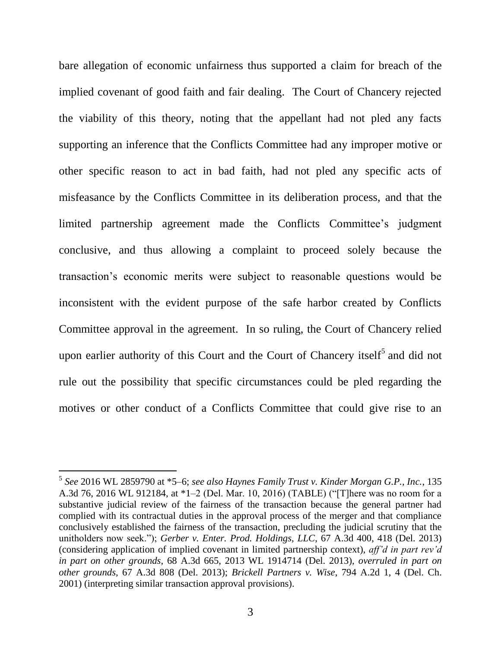bare allegation of economic unfairness thus supported a claim for breach of the implied covenant of good faith and fair dealing. The Court of Chancery rejected the viability of this theory, noting that the appellant had not pled any facts supporting an inference that the Conflicts Committee had any improper motive or other specific reason to act in bad faith, had not pled any specific acts of misfeasance by the Conflicts Committee in its deliberation process, and that the limited partnership agreement made the Conflicts Committee's judgment conclusive, and thus allowing a complaint to proceed solely because the transaction's economic merits were subject to reasonable questions would be inconsistent with the evident purpose of the safe harbor created by Conflicts Committee approval in the agreement. In so ruling, the Court of Chancery relied upon earlier authority of this Court and the Court of Chancery itself<sup>5</sup> and did not rule out the possibility that specific circumstances could be pled regarding the motives or other conduct of a Conflicts Committee that could give rise to an

 $\overline{a}$ 

<sup>5</sup> *See* 2016 WL 2859790 at \*5–6; *see also Haynes Family Trust v. Kinder Morgan G.P., Inc.*, 135 A.3d 76, 2016 WL 912184, at \*1-2 (Del. Mar. 10, 2016) (TABLE) ("[T]here was no room for a substantive judicial review of the fairness of the transaction because the general partner had complied with its contractual duties in the approval process of the merger and that compliance conclusively established the fairness of the transaction, precluding the judicial scrutiny that the unitholders now seek."); *Gerber v. Enter. Prod. Holdings, LLC*, 67 A.3d 400, 418 (Del. 2013) (considering application of implied covenant in limited partnership context), *aff'd in part rev'd in part on other grounds*, 68 A.3d 665, 2013 WL 1914714 (Del. 2013), *overruled in part on other grounds*, 67 A.3d 808 (Del. 2013); *Brickell Partners v. Wise*, 794 A.2d 1, 4 (Del. Ch. 2001) (interpreting similar transaction approval provisions).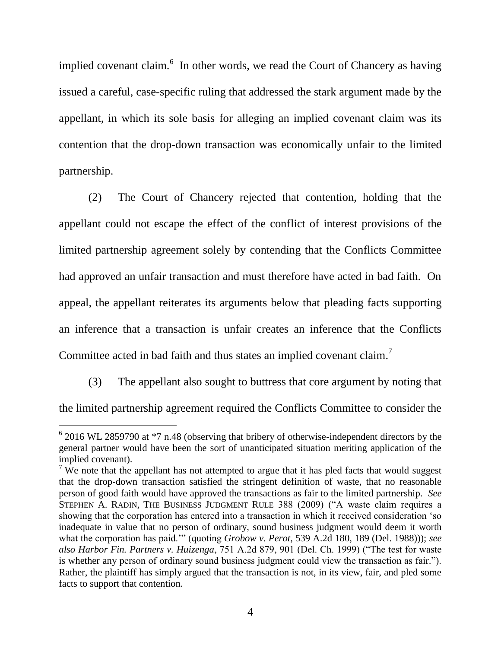implied covenant claim.<sup>6</sup> In other words, we read the Court of Chancery as having issued a careful, case-specific ruling that addressed the stark argument made by the appellant, in which its sole basis for alleging an implied covenant claim was its contention that the drop-down transaction was economically unfair to the limited partnership.

(2) The Court of Chancery rejected that contention, holding that the appellant could not escape the effect of the conflict of interest provisions of the limited partnership agreement solely by contending that the Conflicts Committee had approved an unfair transaction and must therefore have acted in bad faith. On appeal, the appellant reiterates its arguments below that pleading facts supporting an inference that a transaction is unfair creates an inference that the Conflicts Committee acted in bad faith and thus states an implied covenant claim.<sup>7</sup>

(3) The appellant also sought to buttress that core argument by noting that the limited partnership agreement required the Conflicts Committee to consider the

l

 $62016$  WL 2859790 at  $*7$  n.48 (observing that bribery of otherwise-independent directors by the general partner would have been the sort of unanticipated situation meriting application of the implied covenant).

<sup>&</sup>lt;sup>7</sup> We note that the appellant has not attempted to argue that it has pled facts that would suggest that the drop-down transaction satisfied the stringent definition of waste, that no reasonable person of good faith would have approved the transactions as fair to the limited partnership. *See*  STEPHEN A. RADIN, THE BUSINESS JUDGMENT RULE 388 (2009) ("A waste claim requires a showing that the corporation has entered into a transaction in which it received consideration 'so inadequate in value that no person of ordinary, sound business judgment would deem it worth what the corporation has paid.'" (quoting *Grobow v. Perot*, 539 A.2d 180, 189 (Del. 1988))); *see also Harbor Fin. Partners v. Huizenga*, 751 A.2d 879, 901 (Del. Ch. 1999) ("The test for waste is whether any person of ordinary sound business judgment could view the transaction as fair."). Rather, the plaintiff has simply argued that the transaction is not, in its view, fair, and pled some facts to support that contention.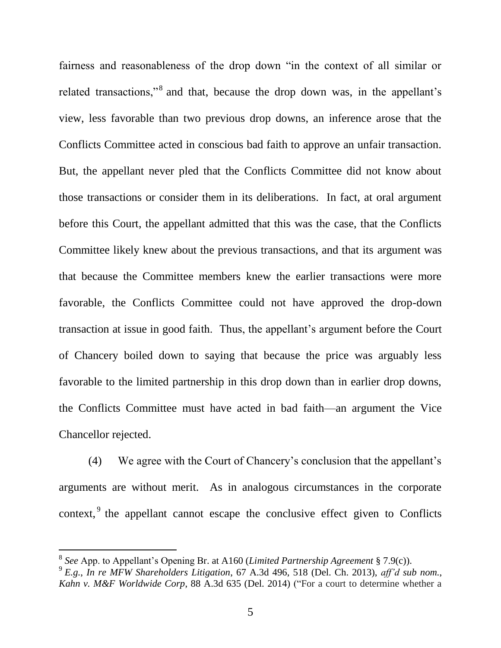fairness and reasonableness of the drop down "in the context of all similar or related transactions,"<sup>8</sup> and that, because the drop down was, in the appellant's view, less favorable than two previous drop downs, an inference arose that the Conflicts Committee acted in conscious bad faith to approve an unfair transaction. But, the appellant never pled that the Conflicts Committee did not know about those transactions or consider them in its deliberations. In fact, at oral argument before this Court, the appellant admitted that this was the case, that the Conflicts Committee likely knew about the previous transactions, and that its argument was that because the Committee members knew the earlier transactions were more favorable, the Conflicts Committee could not have approved the drop-down transaction at issue in good faith. Thus, the appellant's argument before the Court of Chancery boiled down to saying that because the price was arguably less favorable to the limited partnership in this drop down than in earlier drop downs, the Conflicts Committee must have acted in bad faith—an argument the Vice Chancellor rejected.

(4) We agree with the Court of Chancery's conclusion that the appellant's arguments are without merit. As in analogous circumstances in the corporate context,  $9$  the appellant cannot escape the conclusive effect given to Conflicts

l

<sup>8</sup> *See* App. to Appellant's Opening Br. at A160 (*Limited Partnership Agreement* § 7.9(c)).

<sup>9</sup> *E.g.*, *In re MFW Shareholders Litigation*, 67 A.3d 496, 518 (Del. Ch. 2013), *aff'd sub nom.*, *Kahn v. M&F Worldwide Corp*, 88 A.3d 635 (Del. 2014) ("For a court to determine whether a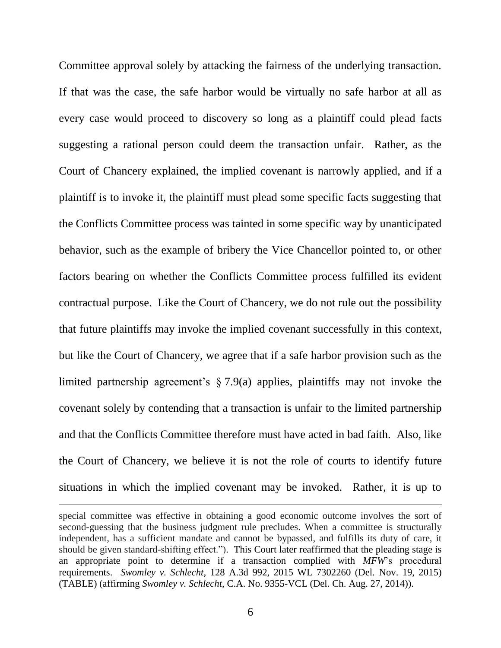Committee approval solely by attacking the fairness of the underlying transaction. If that was the case, the safe harbor would be virtually no safe harbor at all as every case would proceed to discovery so long as a plaintiff could plead facts suggesting a rational person could deem the transaction unfair. Rather, as the Court of Chancery explained, the implied covenant is narrowly applied, and if a plaintiff is to invoke it, the plaintiff must plead some specific facts suggesting that the Conflicts Committee process was tainted in some specific way by unanticipated behavior, such as the example of bribery the Vice Chancellor pointed to, or other factors bearing on whether the Conflicts Committee process fulfilled its evident contractual purpose. Like the Court of Chancery, we do not rule out the possibility that future plaintiffs may invoke the implied covenant successfully in this context, but like the Court of Chancery, we agree that if a safe harbor provision such as the limited partnership agreement's § 7.9(a) applies, plaintiffs may not invoke the covenant solely by contending that a transaction is unfair to the limited partnership and that the Conflicts Committee therefore must have acted in bad faith. Also, like the Court of Chancery, we believe it is not the role of courts to identify future situations in which the implied covenant may be invoked. Rather, it is up to

l

special committee was effective in obtaining a good economic outcome involves the sort of second-guessing that the business judgment rule precludes. When a committee is structurally independent, has a sufficient mandate and cannot be bypassed, and fulfills its duty of care, it should be given standard-shifting effect."). This Court later reaffirmed that the pleading stage is an appropriate point to determine if a transaction complied with *MFW*'s procedural requirements. *Swomley v. Schlecht*, 128 A.3d 992, 2015 WL 7302260 (Del. Nov. 19, 2015) (TABLE) (affirming *Swomley v. Schlecht*, C.A. No. 9355-VCL (Del. Ch. Aug. 27, 2014)).